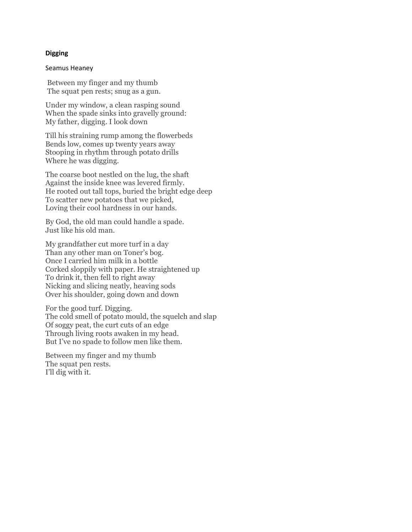## **Digging**

### Seamus Heaney

Between my finger and my thumb The squat pen rests; snug as a gun.

Under my window, a clean rasping sound When the spade sinks into gravelly ground: My father, digging. I look down

Till his straining rump among the flowerbeds Bends low, comes up twenty years away Stooping in rhythm through potato drills Where he was digging.

The coarse boot nestled on the lug, the shaft Against the inside knee was levered firmly. He rooted out tall tops, buried the bright edge deep To scatter new potatoes that we picked, Loving their cool hardness in our hands.

By God, the old man could handle a spade. Just like his old man.

My grandfather cut more turf in a day Than any other man on Toner's bog. Once I carried him milk in a bottle Corked sloppily with paper. He straightened up To drink it, then fell to right away Nicking and slicing neatly, heaving sods Over his shoulder, going down and down

For the good turf. Digging. The cold smell of potato mould, the squelch and slap Of soggy peat, the curt cuts of an edge Through living roots awaken in my head. But I've no spade to follow men like them.

Between my finger and my thumb The squat pen rests. I'll dig with it.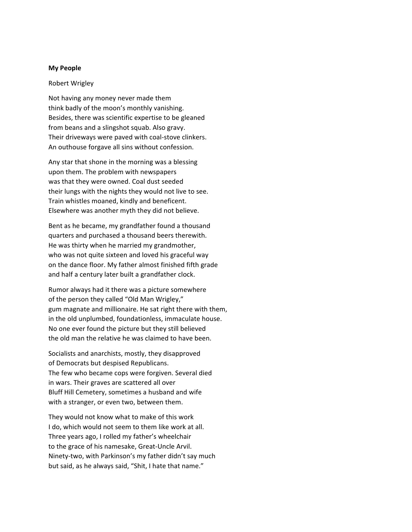### **My People**

#### Robert Wrigley

Not having any money never made them think badly of the moon's monthly vanishing. Besides, there was scientific expertise to be gleaned from beans and a slingshot squab. Also gravy. Their driveways were paved with coal-stove clinkers. An outhouse forgave all sins without confession.

Any star that shone in the morning was a blessing upon them. The problem with newspapers was that they were owned. Coal dust seeded their lungs with the nights they would not live to see. Train whistles moaned, kindly and beneficent. Elsewhere was another myth they did not believe.

Bent as he became, my grandfather found a thousand quarters and purchased a thousand beers therewith. He was thirty when he married my grandmother, who was not quite sixteen and loved his graceful way on the dance floor. My father almost finished fifth grade and half a century later built a grandfather clock.

Rumor always had it there was a picture somewhere of the person they called "Old Man Wrigley," gum magnate and millionaire. He sat right there with them, in the old unplumbed, foundationless, immaculate house. No one ever found the picture but they still believed the old man the relative he was claimed to have been.

Socialists and anarchists, mostly, they disapproved of Democrats but despised Republicans. The few who became cops were forgiven. Several died in wars. Their graves are scattered all over Bluff Hill Cemetery, sometimes a husband and wife with a stranger, or even two, between them.

They would not know what to make of this work I do, which would not seem to them like work at all. Three years ago, I rolled my father's wheelchair to the grace of his namesake, Great-Uncle Arvil. Ninety-two, with Parkinson's my father didn't say much but said, as he always said, "Shit, I hate that name."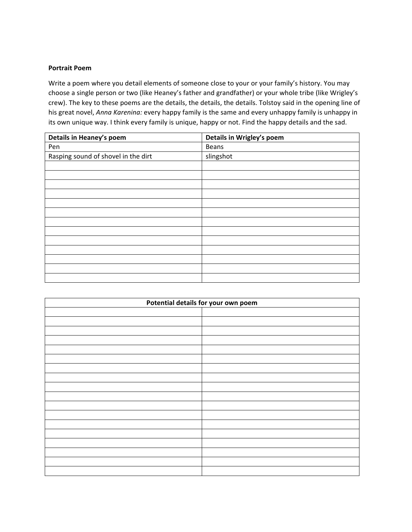# **Portrait Poem**

Write a poem where you detail elements of someone close to your or your family's history. You may choose a single person or two (like Heaney's father and grandfather) or your whole tribe (like Wrigley's crew). The key to these poems are the details, the details, the details. Tolstoy said in the opening line of his great novel, *Anna Karenina:* every happy family is the same and every unhappy family is unhappy in its own unique way. I think every family is unique, happy or not. Find the happy details and the sad.

| Details in Heaney's poem            | Details in Wrigley's poem |
|-------------------------------------|---------------------------|
| Pen                                 | <b>Beans</b>              |
| Rasping sound of shovel in the dirt | slingshot                 |
|                                     |                           |
|                                     |                           |
|                                     |                           |
|                                     |                           |
|                                     |                           |
|                                     |                           |
|                                     |                           |
|                                     |                           |
|                                     |                           |
|                                     |                           |
|                                     |                           |
|                                     |                           |
|                                     |                           |

| Potential details for your own poem |  |
|-------------------------------------|--|
|                                     |  |
|                                     |  |
|                                     |  |
|                                     |  |
|                                     |  |
|                                     |  |
|                                     |  |
|                                     |  |
|                                     |  |
|                                     |  |
|                                     |  |
|                                     |  |
|                                     |  |
|                                     |  |
|                                     |  |
|                                     |  |
|                                     |  |
|                                     |  |